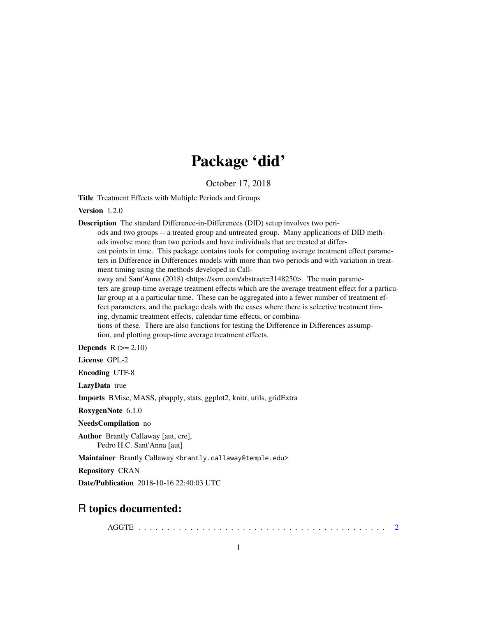# Package 'did'

October 17, 2018

Title Treatment Effects with Multiple Periods and Groups

#### Version 1.2.0

Description The standard Difference-in-Differences (DID) setup involves two peri-

ods and two groups -- a treated group and untreated group. Many applications of DID methods involve more than two periods and have individuals that are treated at different points in time. This package contains tools for computing average treatment effect parameters in Difference in Differences models with more than two periods and with variation in treatment timing using the methods developed in Call-

away and Sant'Anna (2018) <https://ssrn.com/abstract=3148250>. The main parameters are group-time average treatment effects which are the average treatment effect for a particular group at a a particular time. These can be aggregated into a fewer number of treatment effect parameters, and the package deals with the cases where there is selective treatment timing, dynamic treatment effects, calendar time effects, or combina-

tions of these. There are also functions for testing the Difference in Differences assumption, and plotting group-time average treatment effects.

Depends  $R (= 2.10)$ 

License GPL-2

Encoding UTF-8

LazyData true

Imports BMisc, MASS, pbapply, stats, ggplot2, knitr, utils, gridExtra

RoxygenNote 6.1.0

NeedsCompilation no

Author Brantly Callaway [aut, cre], Pedro H.C. Sant'Anna [aut]

Maintainer Brantly Callaway <brantly.callaway@temple.edu>

Repository CRAN

Date/Publication 2018-10-16 22:40:03 UTC

# R topics documented:

AGGTE . . . . . . . . . . . . . . . . . . . . . . . . . . . . . . . . . . . . . . . . . . . [2](#page-1-0)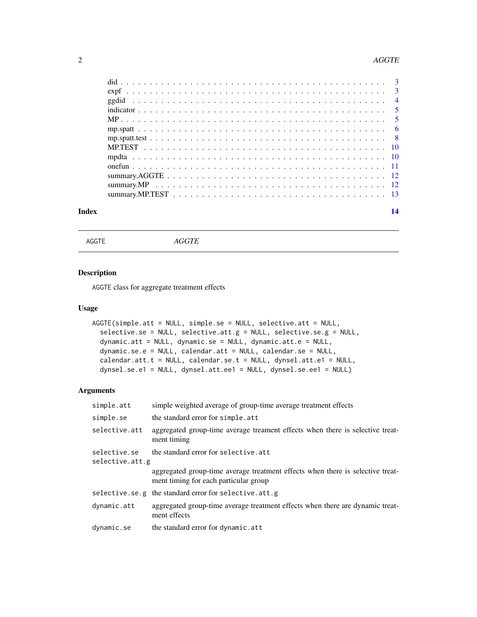#### <span id="page-1-0"></span>2 and 2 and 2 and 2 and 2 and 2 and 2 and 2 and 2 and 2 and 2 and 2 and 2 and 2 and 2 and 2 and 2 and 2 and 2 and 2 and 2 and 2 and 2 and 2 and 2 and 2 and 2 and 2 and 2 and 2 and 2 and 2 and 2 and 2 and 2 and 2 and 2 and

| Index | 14 |
|-------|----|
|       |    |
|       |    |
|       |    |
|       |    |
|       |    |
|       |    |
|       |    |
|       |    |
|       |    |
|       |    |
|       |    |
|       |    |
|       |    |

AGGTE *AGGTE*

#### Description

AGGTE class for aggregate treatment effects

#### Usage

```
AGGTE(simple.att = NULL, simple.se = NULL, selective.att = NULL,
  selective.se = NULL, selective.att.g = NULL, selective.se.g = NULL,
  dynamic.att = NULL, dynamic.se = NULL, dynamic.att.e = NULL,
  dynamic.se.e = NULL, calendar.att = NULL, calendar.se = NULL,
  calendar.att.t = NULL, calendar.se.t = NULL, dynsel.att.e1 = NULL,
  dynsel.se.e1 = NULL, dynsel.att.ee1 = NULL, dynsel.se.ee1 = NULL)
```

| simple.att                                                              | simple weighted average of group-time average treatment effects                                                         |
|-------------------------------------------------------------------------|-------------------------------------------------------------------------------------------------------------------------|
| simple.se                                                               | the standard error for simple.att                                                                                       |
| selective.att                                                           | aggregated group-time average treament effects when there is selective treat-<br>ment timing                            |
| the standard error for selective.att<br>selective.se<br>selective.att.g |                                                                                                                         |
|                                                                         | aggregated group-time average treatment effects when there is selective treat-<br>ment timing for each particular group |
|                                                                         | selective.se.g the standard error for selective.att.g                                                                   |
| dynamic.att                                                             | aggregated group-time average treatment effects when there are dynamic treat-<br>ment effects                           |
| dynamic.se                                                              | the standard error for dynamic.att                                                                                      |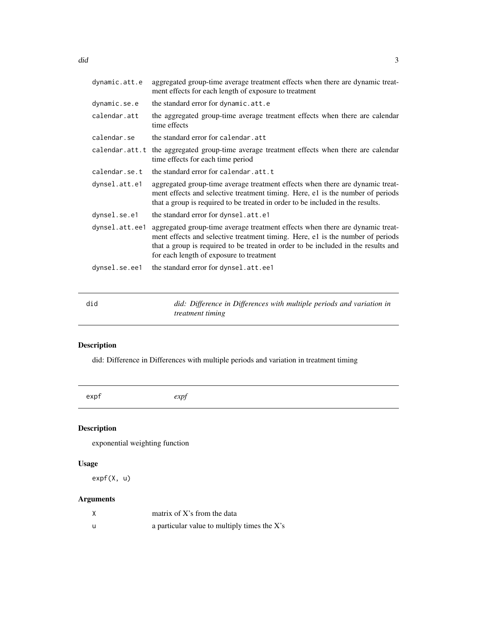<span id="page-2-0"></span>

| dynamic.att.e  | aggregated group-time average treatment effects when there are dynamic treat-<br>ment effects for each length of exposure to treatment                                                                                                                                                           |
|----------------|--------------------------------------------------------------------------------------------------------------------------------------------------------------------------------------------------------------------------------------------------------------------------------------------------|
| dynamic.se.e   | the standard error for dynamic.att.e                                                                                                                                                                                                                                                             |
| calendar.att   | the aggregated group-time average treatment effects when there are calendar<br>time effects                                                                                                                                                                                                      |
| calendar.se    | the standard error for calendar.att                                                                                                                                                                                                                                                              |
| calendar.att.t | the aggregated group-time average treatment effects when there are calendar<br>time effects for each time period                                                                                                                                                                                 |
| calendar.se.t  | the standard error for calendar.att.t                                                                                                                                                                                                                                                            |
| dynsel.att.e1  | aggregated group-time average treatment effects when there are dynamic treat-<br>ment effects and selective treatment timing. Here, e1 is the number of periods<br>that a group is required to be treated in order to be included in the results.                                                |
| dynsel.se.e1   | the standard error for dynsel.att.e1                                                                                                                                                                                                                                                             |
| dynsel.att.ee1 | aggregated group-time average treatment effects when there are dynamic treat-<br>ment effects and selective treatment timing. Here, e1 is the number of periods<br>that a group is required to be treated in order to be included in the results and<br>for each length of exposure to treatment |
| dynsel.se.ee1  | the standard error for dynsel.att.ee1                                                                                                                                                                                                                                                            |

| did | did: Difference in Differences with multiple periods and variation in |
|-----|-----------------------------------------------------------------------|
|     | <i>treatment timing</i>                                               |

# Description

did: Difference in Differences with multiple periods and variation in treatment timing

|--|

## Description

exponential weighting function

#### Usage

expf(X, u)

| X   | matrix of $X$ 's from the data               |
|-----|----------------------------------------------|
| - u | a particular value to multiply times the X's |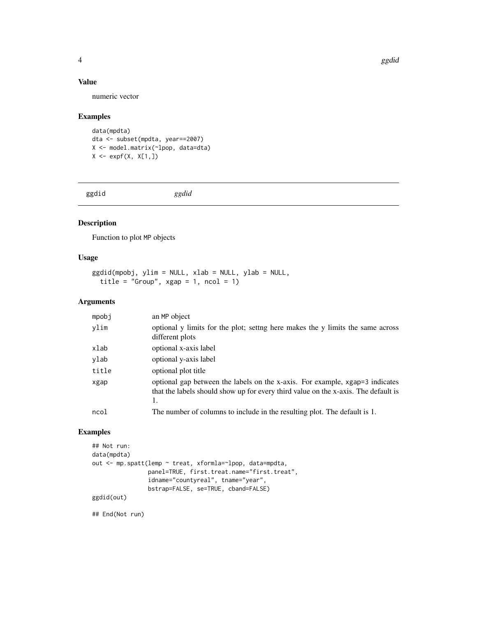<span id="page-3-0"></span>4 ggdid activities and the contract of the contract of the contract of the contract of the contract of the contract of the contract of the contract of the contract of the contract of the contract of the contract of the con

#### Value

numeric vector

#### Examples

data(mpdta) dta <- subset(mpdta, year==2007) X <- model.matrix(~lpop, data=dta)  $X \leftarrow \exp f(X, X[1,])$ 

ggdid *ggdid*

### Description

Function to plot MP objects

#### Usage

ggdid(mpobj, ylim = NULL, xlab = NULL, ylab = NULL, title = "Group",  $xgap = 1$ ,  $ncol = 1$ )

#### Arguments

| mpobi | an MP object                                                                                                                                                             |
|-------|--------------------------------------------------------------------------------------------------------------------------------------------------------------------------|
| ylim  | optional y limits for the plot; setting here makes the y limits the same across<br>different plots                                                                       |
| xlab  | optional x-axis label                                                                                                                                                    |
| ylab  | optional y-axis label                                                                                                                                                    |
| title | optional plot title                                                                                                                                                      |
| xgap  | optional gap between the labels on the x-axis. For example, xgap=3 indicates<br>that the labels should show up for every third value on the x-axis. The default is<br>1. |
| ncol  | The number of columns to include in the resulting plot. The default is 1.                                                                                                |

#### Examples

```
## Not run:
data(mpdta)
out <- mp.spatt(lemp ~ treat, xformla=~lpop, data=mpdta,
                panel=TRUE, first.treat.name="first.treat",
                idname="countyreal", tname="year",
                bstrap=FALSE, se=TRUE, cband=FALSE)
ggdid(out)
```
## End(Not run)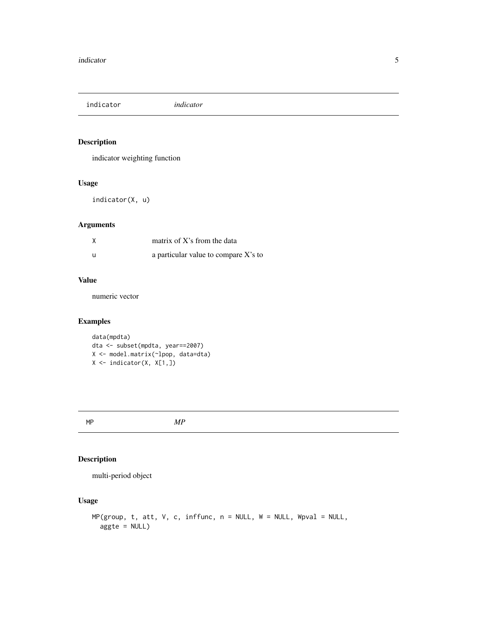<span id="page-4-0"></span>indicator *indicator*

#### Description

indicator weighting function

#### Usage

indicator(X, u)

#### Arguments

| matrix of $X$ 's from the data       |
|--------------------------------------|
| a particular value to compare X's to |

#### Value

numeric vector

#### Examples

```
data(mpdta)
dta <- subset(mpdta, year==2007)
X <- model.matrix(~lpop, data=dta)
X <- indicator(X, X[1,])
```
MP *MP*

#### Description

multi-period object

#### Usage

```
MP(group, t, att, V, c, inffunc, n = NULL, W = NULL, Wpval = NULL,aggte = NULL)
```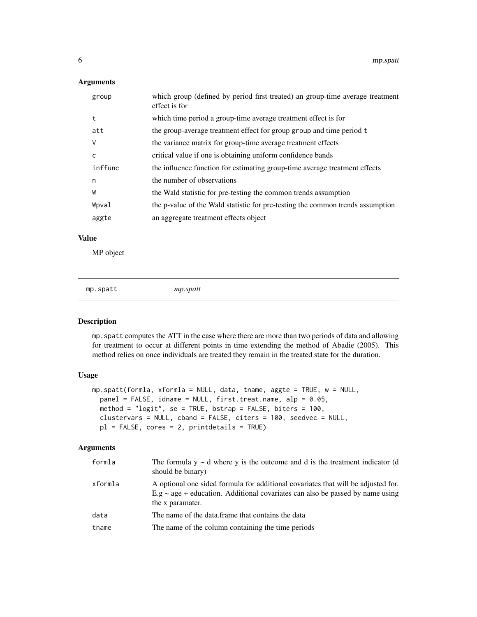#### <span id="page-5-0"></span>Arguments

| group   | which group (defined by period first treated) an group-time average treatment<br>effect is for |
|---------|------------------------------------------------------------------------------------------------|
| t       | which time period a group-time average treatment effect is for                                 |
| att     | the group-average treatment effect for group group and time period t                           |
| ٧       | the variance matrix for group-time average treatment effects                                   |
| C       | critical value if one is obtaining uniform confidence bands                                    |
| inffunc | the influence function for estimating group-time average treatment effects                     |
| n       | the number of observations                                                                     |
| W       | the Wald statistic for pre-testing the common trends assumption                                |
| Wpval   | the p-value of the Wald statistic for pre-testing the common trends assumption                 |
| aggte   | an aggregate treatment effects object                                                          |

#### Value

MP object

mp.spatt *mp.spatt*

#### Description

mp.spatt computes the ATT in the case where there are more than two periods of data and allowing for treatment to occur at different points in time extending the method of Abadie (2005). This method relies on once individuals are treated they remain in the treated state for the duration.

#### Usage

```
mp.spatt(formla, xformla = NULL, data, tname, aggte = TRUE, w = NULL,
 panel = FALSE, idname = NULL, first.treat.name, alp = 0.05,
 method = "logit", se = TRUE, bstrap = FALSE, biters = 100,
 clustervars = NULL, cband = FALSE, citers = 100, seedvec = NULL,
 pl = FALSE, cores = 2, printdetails = TRUE)
```

| formla  | The formula $y \sim d$ where y is the outcome and d is the treatment indicator (d<br>should be binary)                                                                                   |
|---------|------------------------------------------------------------------------------------------------------------------------------------------------------------------------------------------|
| xformla | A optional one sided formula for additional covariates that will be adjusted for.<br>$E.g ~ age + education.$ Additional covariates can also be passed by name using<br>the x paramater. |
| data    | The name of the data frame that contains the data                                                                                                                                        |
| tname   | The name of the column containing the time periods                                                                                                                                       |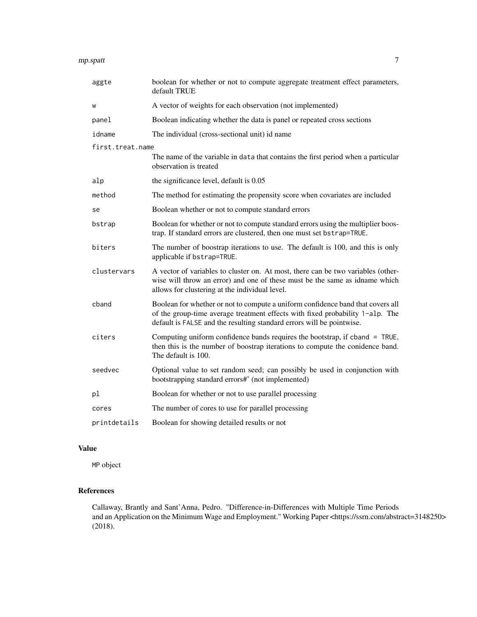#### mp.spatt 7

| aggte            | boolean for whether or not to compute aggregate treatment effect parameters,<br>default TRUE                                                                                                                                              |
|------------------|-------------------------------------------------------------------------------------------------------------------------------------------------------------------------------------------------------------------------------------------|
| W                | A vector of weights for each observation (not implemented)                                                                                                                                                                                |
| panel            | Boolean indicating whether the data is panel or repeated cross sections                                                                                                                                                                   |
| idname           | The individual (cross-sectional unit) id name                                                                                                                                                                                             |
| first.treat.name |                                                                                                                                                                                                                                           |
|                  | The name of the variable in data that contains the first period when a particular<br>observation is treated                                                                                                                               |
| alp              | the significance level, default is 0.05                                                                                                                                                                                                   |
| method           | The method for estimating the propensity score when covariates are included                                                                                                                                                               |
| se               | Boolean whether or not to compute standard errors                                                                                                                                                                                         |
| bstrap           | Boolean for whether or not to compute standard errors using the multiplier boos-<br>trap. If standard errors are clustered, then one must set bstrap=TRUE.                                                                                |
| biters           | The number of boostrap iterations to use. The default is 100, and this is only<br>applicable if bstrap=TRUE.                                                                                                                              |
| clustervars      | A vector of variables to cluster on. At most, there can be two variables (other-<br>wise will throw an error) and one of these must be the same as idname which<br>allows for clustering at the individual level.                         |
| cband            | Boolean for whether or not to compute a uniform confidence band that covers all<br>of the group-time average treatment effects with fixed probability 1-alp. The<br>default is FALSE and the resulting standard errors will be pointwise. |
| citers           | Computing uniform confidence bands requires the bootstrap, if cband = TRUE,<br>then this is the number of boostrap iterations to compute the conidence band.<br>The default is 100.                                                       |
| seedvec          | Optional value to set random seed; can possibly be used in conjunction with<br>bootstrapping standard errors#' (not implemented)                                                                                                          |
| pl               | Boolean for whether or not to use parallel processing                                                                                                                                                                                     |
| cores            | The number of cores to use for parallel processing                                                                                                                                                                                        |
| printdetails     | Boolean for showing detailed results or not                                                                                                                                                                                               |

#### Value

MP object

#### References

Callaway, Brantly and Sant'Anna, Pedro. "Difference-in-Differences with Multiple Time Periods and an Application on the Minimum Wage and Employment." Working Paper <https://ssrn.com/abstract=3148250> (2018).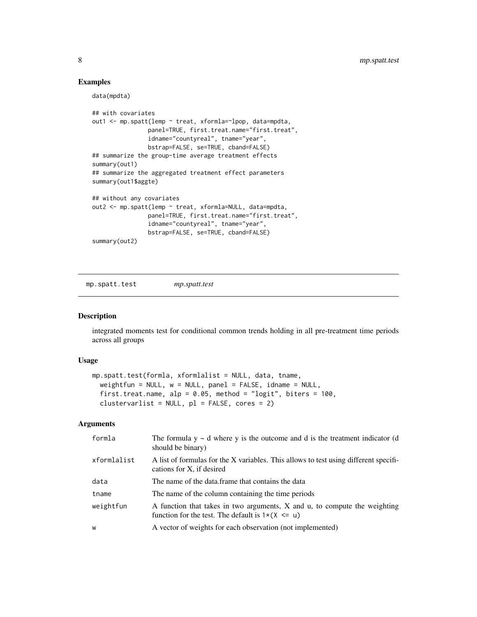#### Examples

data(mpdta)

```
## with covariates
out1 <- mp.spatt(lemp ~ treat, xformla=~lpop, data=mpdta,
                panel=TRUE, first.treat.name="first.treat",
                idname="countyreal", tname="year",
                bstrap=FALSE, se=TRUE, cband=FALSE)
## summarize the group-time average treatment effects
summary(out1)
## summarize the aggregated treatment effect parameters
summary(out1$aggte)
## without any covariates
out2 <- mp.spatt(lemp ~ treat, xformla=NULL, data=mpdta,
                panel=TRUE, first.treat.name="first.treat",
                idname="countyreal", tname="year",
                bstrap=FALSE, se=TRUE, cband=FALSE)
summary(out2)
```
mp.spatt.test *mp.spatt.test*

#### Description

integrated moments test for conditional common trends holding in all pre-treatment time periods across all groups

#### Usage

```
mp.spatt.test(formla, xformlalist = NULL, data, tname,
  weightfun = NULL, w = NULL, panel = FALSE, idname = NULL,
  first.treat.name, alp = 0.05, method = "logit", biters = 100,
  clustervarlist = NULL, pl = FALSE, cores = 2)
```

| formla      | The formula $y \sim d$ where y is the outcome and d is the treatment indicator (d<br>should be binary)                            |
|-------------|-----------------------------------------------------------------------------------------------------------------------------------|
| xformlalist | A list of formulas for the X variables. This allows to test using different specifi-<br>cations for X, if desired                 |
| data        | The name of the data frame that contains the data                                                                                 |
| tname       | The name of the column containing the time periods                                                                                |
| weightfun   | A function that takes in two arguments, X and u, to compute the weighting<br>function for the test. The default is $1*(X \leq u)$ |
| W           | A vector of weights for each observation (not implemented)                                                                        |

<span id="page-7-0"></span>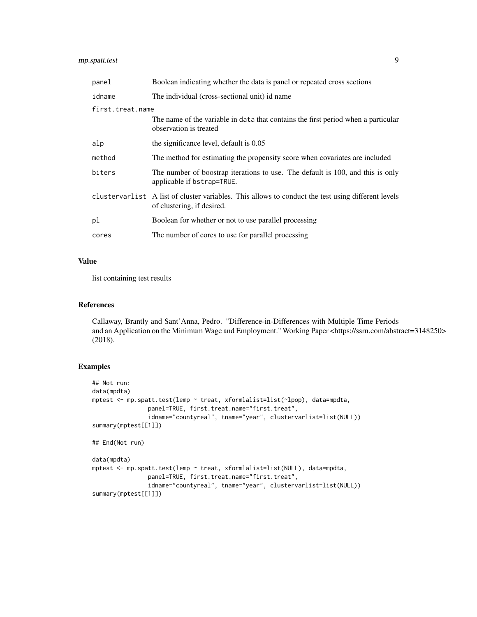#### mp.spatt.test 9

| panel            | Boolean indicating whether the data is panel or repeated cross sections                                                            |  |
|------------------|------------------------------------------------------------------------------------------------------------------------------------|--|
| idname           | The individual (cross-sectional unit) id name                                                                                      |  |
| first.treat.name |                                                                                                                                    |  |
|                  | The name of the variable in data that contains the first period when a particular<br>observation is treated                        |  |
| alp              | the significance level, default is 0.05                                                                                            |  |
| method           | The method for estimating the propensity score when covariates are included                                                        |  |
| biters           | The number of boostrap iterations to use. The default is 100, and this is only<br>applicable if bstrap=TRUE.                       |  |
|                  | cluster variance A list of cluster variables. This allows to conduct the test using different levels<br>of clustering, if desired. |  |
| рl               | Boolean for whether or not to use parallel processing                                                                              |  |
| cores            | The number of cores to use for parallel processing                                                                                 |  |

#### Value

list containing test results

#### References

Callaway, Brantly and Sant'Anna, Pedro. "Difference-in-Differences with Multiple Time Periods and an Application on the Minimum Wage and Employment." Working Paper <https://ssrn.com/abstract=3148250> (2018).

#### Examples

```
## Not run:
data(mpdta)
mptest <- mp.spatt.test(lemp ~ treat, xformlalist=list(~lpop), data=mpdta,
                panel=TRUE, first.treat.name="first.treat",
                idname="countyreal", tname="year", clustervarlist=list(NULL))
summary(mptest[[1]])
## End(Not run)
data(mpdta)
mptest <- mp.spatt.test(lemp ~ treat, xformlalist=list(NULL), data=mpdta,
                panel=TRUE, first.treat.name="first.treat",
                idname="countyreal", tname="year", clustervarlist=list(NULL))
summary(mptest[[1]])
```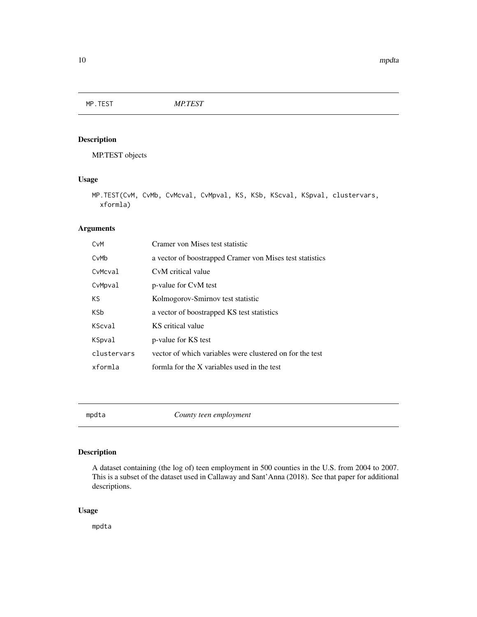<span id="page-9-0"></span>MP.TEST *MP.TEST*

#### Description

MP.TEST objects

#### Usage

```
MP.TEST(CvM, CvMb, CvMcval, CvMpval, KS, KSb, KScval, KSpval, clustervars,
  xformla)
```
#### Arguments

| CvM           | Cramer von Mises test statistic                          |
|---------------|----------------------------------------------------------|
| CvMb          | a vector of boostrapped Cramer von Mises test statistics |
| CvMcval       | CyM critical value                                       |
| CvMpval       | p-value for CvM test                                     |
| KS.           | Kolmogorov-Smirnov test statistic                        |
| <b>KSb</b>    | a vector of boostrapped KS test statistics               |
| <b>KScval</b> | KS critical value                                        |
| KSpval        | p-value for KS test                                      |
| clustervars   | vector of which variables were clustered on for the test |
| xformla       | formla for the X variables used in the test              |
|               |                                                          |

mpdta *County teen employment*

#### Description

A dataset containing (the log of) teen employment in 500 counties in the U.S. from 2004 to 2007. This is a subset of the dataset used in Callaway and Sant'Anna (2018). See that paper for additional descriptions.

#### Usage

mpdta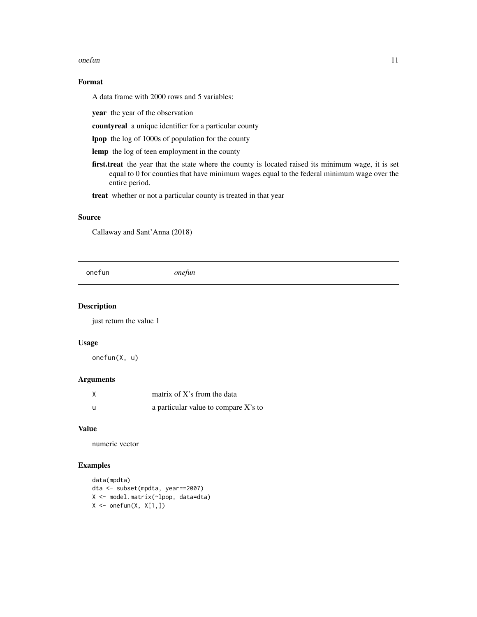#### <span id="page-10-0"></span>onefun and the set of the set of the set of the set of the set of the set of the set of the set of the set of the set of the set of the set of the set of the set of the set of the set of the set of the set of the set of th

#### Format

A data frame with 2000 rows and 5 variables:

year the year of the observation

countyreal a unique identifier for a particular county

lpop the log of 1000s of population for the county

lemp the log of teen employment in the county

first.treat the year that the state where the county is located raised its minimum wage, it is set equal to 0 for counties that have minimum wages equal to the federal minimum wage over the entire period.

treat whether or not a particular county is treated in that year

#### Source

Callaway and Sant'Anna (2018)

onefun *onefun*

#### Description

just return the value 1

#### Usage

onefun(X, u)

#### Arguments

|     | matrix of $X$ 's from the data       |
|-----|--------------------------------------|
| - U | a particular value to compare X's to |

#### Value

numeric vector

#### Examples

```
data(mpdta)
dta <- subset(mpdta, year==2007)
X <- model.matrix(~lpop, data=dta)
X \leftarrow \text{onefun}(X, X[1,])
```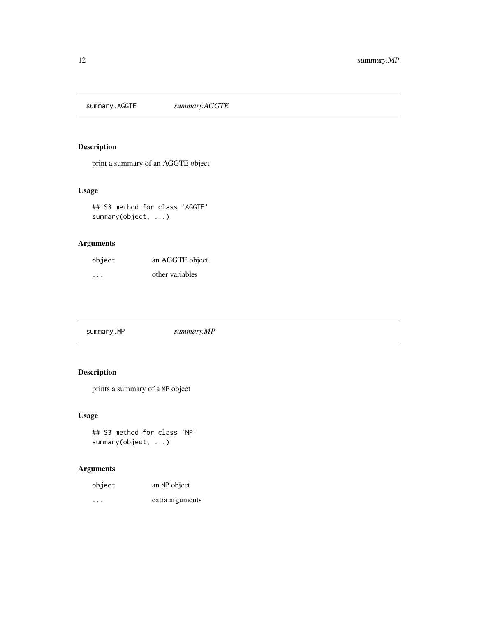<span id="page-11-0"></span>summary.AGGTE *summary.AGGTE*

#### Description

print a summary of an AGGTE object

#### Usage

```
## S3 method for class 'AGGTE'
summary(object, ...)
```
#### Arguments

| object | an AGGTE object |
|--------|-----------------|
| .      | other variables |

# Description

prints a summary of a MP object

#### Usage

```
## S3 method for class 'MP'
summary(object, ...)
```

| object | an MP object    |
|--------|-----------------|
| .      | extra arguments |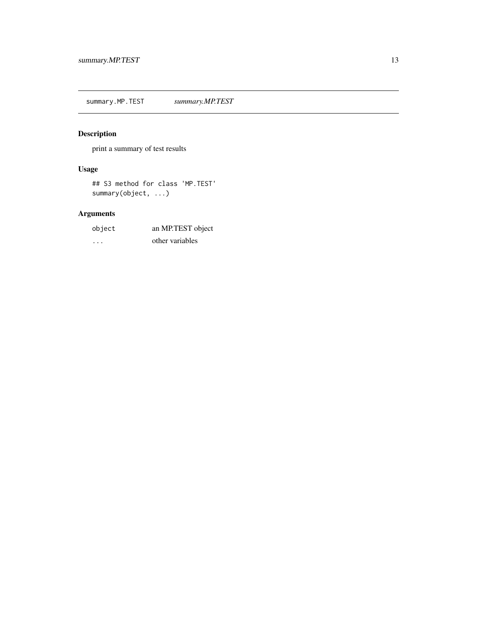<span id="page-12-0"></span>summary.MP.TEST *summary.MP.TEST*

# Description

print a summary of test results

#### Usage

## S3 method for class 'MP.TEST' summary(object, ...)

| object | an MP.TEST object |
|--------|-------------------|
| .      | other variables   |